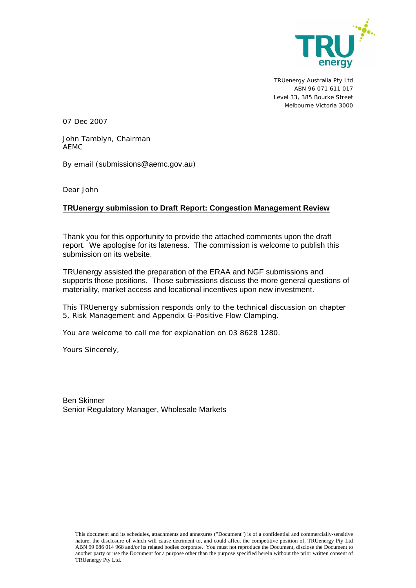

TRUenergy Australia Pty Ltd ABN 96 071 611 017 Level 33, 385 Bourke Street Melbourne Victoria 3000

07 Dec 2007

John Tamblyn, Chairman AEMC

By email (submissions@aemc.gov.au)

Dear John

# **TRUenergy submission to Draft Report: Congestion Management Review**

Thank you for this opportunity to provide the attached comments upon the draft report. We apologise for its lateness. The commission is welcome to publish this submission on its website.

TRUenergy assisted the preparation of the ERAA and NGF submissions and supports those positions. Those submissions discuss the more general questions of materiality, market access and locational incentives upon new investment.

This TRUenergy submission responds only to the technical discussion on chapter 5, Risk Management and Appendix G-Positive Flow Clamping.

You are welcome to call me for explanation on 03 8628 1280.

Yours Sincerely,

Ben Skinner Senior Regulatory Manager, Wholesale Markets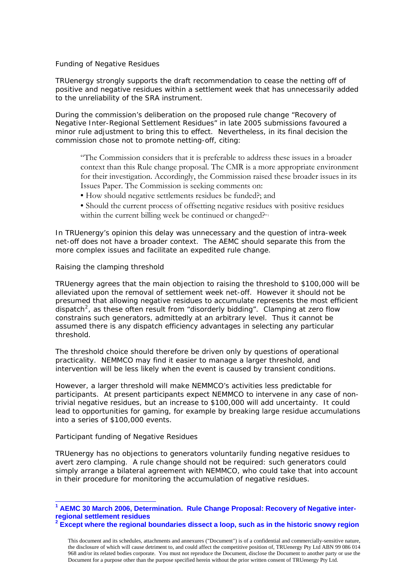## *Funding of Negative Residues*

TRUenergy strongly supports the draft recommendation to cease the netting off of positive and negative residues within a settlement week that has unnecessarily added to the unreliability of the SRA instrument.

During the commission's deliberation on the proposed rule change "Recovery of Negative Inter-Regional Settlement Residues" in late 2005 submissions favoured a minor rule adjustment to bring this to effect. Nevertheless, in its final decision the commission chose not to promote netting-off, citing:

"The Commission considers that it is preferable to address these issues in a broader context than this Rule change proposal. The CMR is a more appropriate environment for their investigation. Accordingly, the Commission raised these broader issues in its Issues Paper. The Commission is seeking comments on:

• How should negative settlements residues be funded?; and

• Should the current process of offsetting negative residues with positive residues within the current billing week be continued or changed?"<sup>[1](#page-1-0)</sup>

In TRUenergy's opinion this delay was unnecessary and the question of intra-week net-off does not have a broader context. The AEMC should separate this from the more complex issues and facilitate an expedited rule change.

#### *Raising the clamping threshold*

TRUenergy agrees that the main objection to raising the threshold to \$100,000 will be alleviated upon the removal of settlement week net-off. However it should not be presumed that allowing negative residues to accumulate represents the most efficient dispatch<sup>[2](#page-1-1)</sup>, as these often result from "disorderly bidding". Clamping at zero flow constrains such generators, admittedly at an arbitrary level. Thus it cannot be assumed there is any dispatch efficiency advantages in selecting any particular threshold.

The threshold choice should therefore be driven only by questions of operational practicality. NEMMCO may find it easier to manage a larger threshold, and intervention will be less likely when the event is caused by transient conditions.

However, a larger threshold will make NEMMCO's activities less predictable for participants. At present participants expect NEMMCO to intervene in any case of nontrivial negative residues, but an increase to \$100,000 will add uncertainty. It could lead to opportunities for gaming, for example by breaking large residue accumulations into a series of \$100,000 events.

#### *Participant funding of Negative Residues*

TRUenergy has no objections to generators voluntarily funding negative residues to avert zero clamping. A rule change should not be required: such generators could simply arrange a bilateral agreement with NEMMCO, who could take that into account in their procedure for monitoring the accumulation of negative residues.

<span id="page-1-0"></span><sup>&</sup>lt;sup>1</sup> AEMC 30 March 2006, Determination. Rule Change Proposal: Recovery of Negative inter**regional settlement residues** 

<span id="page-1-1"></span>**<sup>2</sup> Except where the regional boundaries dissect a loop, such as in the historic snowy region** 

This document and its schedules, attachments and annexures ("Document") is of a confidential and commercially-sensitive nature, the disclosure of which will cause detriment to, and could affect the competitive position of, TRUenergy Pty Ltd ABN 99 086 014 968 and/or its related bodies corporate. You must not reproduce the Document, disclose the Document to another party or use the Document for a purpose other than the purpose specified herein without the prior written consent of TRUenergy Pty Ltd.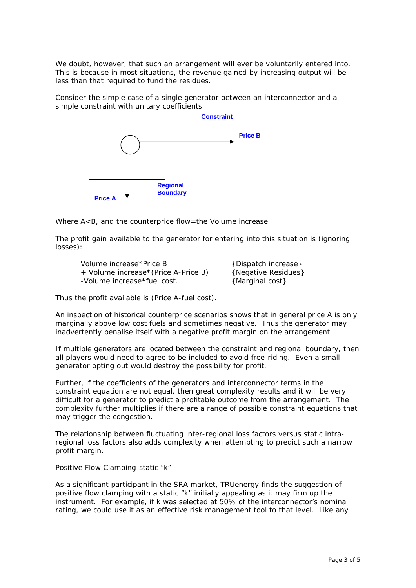We doubt, however, that such an arrangement will ever be voluntarily entered into. This is because in most situations, the revenue gained by increasing output will be less than that required to fund the residues.

Consider the simple case of a single generator between an interconnector and a simple constraint with unitary coefficients.



Where A<B, and the counterprice flow=the Volume increase.

The profit gain available to the generator for entering into this situation is (ignoring losses):

Volume increase\*Price B {Dispatch increase} + Volume increase\*(Price A-Price B) {Negative Residues} -Volume increase\*fuel cost. {Marginal cost}

Thus the profit available is (Price A-fuel cost).

An inspection of historical counterprice scenarios shows that in general price A is only marginally above low cost fuels and sometimes negative. Thus the generator may inadvertently penalise itself with a negative profit margin on the arrangement.

If multiple generators are located between the constraint and regional boundary, then all players would need to agree to be included to avoid free-riding. Even a small generator opting out would destroy the possibility for profit.

Further, if the coefficients of the generators and interconnector terms in the constraint equation are not equal, then great complexity results and it will be very difficult for a generator to predict a profitable outcome from the arrangement. The complexity further multiplies if there are a range of possible constraint equations that may trigger the congestion.

The relationship between fluctuating inter-regional loss factors versus static intraregional loss factors also adds complexity when attempting to predict such a narrow profit margin.

## *Positive Flow Clamping-static "k"*

As a significant participant in the SRA market, TRUenergy finds the suggestion of positive flow clamping with a static "k" initially appealing as it may firm up the instrument. For example, if k was selected at 50% of the interconnector's nominal rating, we could use it as an effective risk management tool to that level. Like any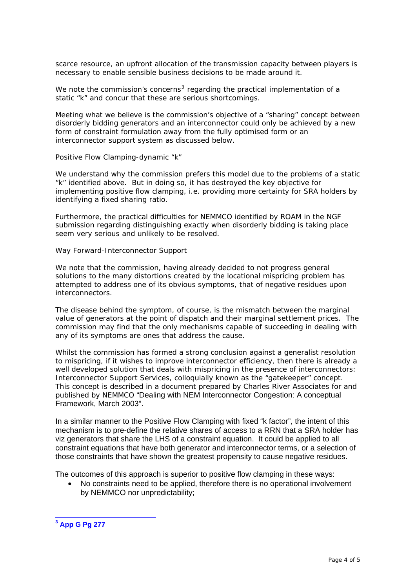scarce resource, an upfront allocation of the transmission capacity between players is necessary to enable sensible business decisions to be made around it.

We note the commission's concerns<sup>[3](#page-3-0)</sup> regarding the practical implementation of a static "k" and concur that these are serious shortcomings.

Meeting what we believe is the commission's objective of a "sharing" concept between disorderly bidding generators and an interconnector could only be achieved by a new form of constraint formulation away from the fully optimised form or an interconnector support system as discussed below.

### *Positive Flow Clamping-dynamic "k"*

We understand why the commission prefers this model due to the problems of a static "k" identified above. But in doing so, it has destroyed the key objective for implementing positive flow clamping, i.e. providing more certainty for SRA holders by identifying a fixed sharing ratio.

Furthermore, the practical difficulties for NEMMCO identified by ROAM in the NGF submission regarding distinguishing exactly when disorderly bidding is taking place seem very serious and unlikely to be resolved.

#### *Way Forward-Interconnector Support*

We note that the commission, having already decided to not progress general solutions to the many distortions created by the locational mispricing problem has attempted to address one of its obvious symptoms, that of negative residues upon interconnectors.

The disease behind the symptom, of course, is the mismatch between the marginal value of generators at the point of dispatch and their marginal settlement prices. The commission may find that the only mechanisms capable of succeeding in dealing with any of its symptoms are ones that address the cause.

Whilst the commission has formed a strong conclusion against a generalist resolution to mispricing, if it wishes to improve interconnector efficiency, then there is already a well developed solution that deals with mispricing in the presence of interconnectors: Interconnector Support Services, colloquially known as the "gatekeeper" concept. This concept is described in a document prepared by Charles River Associates for and published by NEMMCO "Dealing with NEM Interconnector Congestion: A conceptual Framework, March 2003".

In a similar manner to the Positive Flow Clamping with fixed "k factor", the intent of this mechanism is to pre-define the relative shares of access to a RRN that a SRA holder has viz generators that share the LHS of a constraint equation. It could be applied to all constraint equations that have both generator and interconnector terms, or a selection of those constraints that have shown the greatest propensity to cause negative residues.

The outcomes of this approach is superior to positive flow clamping in these ways:

• No constraints need to be applied, therefore there is no operational involvement by NEMMCO nor unpredictability;

<span id="page-3-0"></span> **3 App G Pg 277**